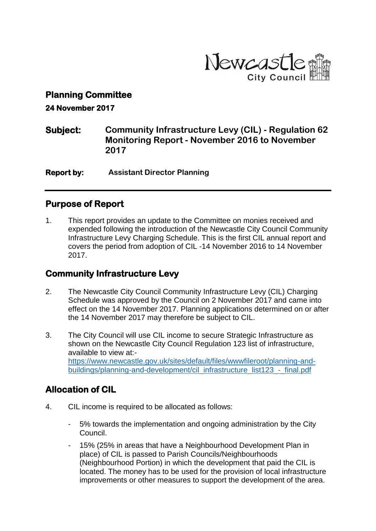

#### **Planning Committee**

**24 November 2017** 

**Subject: Community Infrastructure Levy (CIL) - Regulation 62 Monitoring Report - November 2016 to November 2017**

**Report by: Assistant Director Planning** 

#### **Purpose of Report**

1. This report provides an update to the Committee on monies received and expended following the introduction of the Newcastle City Council Community Infrastructure Levy Charging Schedule. This is the first CIL annual report and covers the period from adoption of CIL -14 November 2016 to 14 November 2017.

## **Community Infrastructure Levy**

- 2. The Newcastle City Council Community Infrastructure Levy (CIL) Charging Schedule was approved by the Council on 2 November 2017 and came into effect on the 14 November 2017. Planning applications determined on or after the 14 November 2017 may therefore be subject to CIL.
- 3. The City Council will use CIL income to secure Strategic Infrastructure as shown on the Newcastle City Council Regulation 123 list of infrastructure, available to view at: [https://www.newcastle.gov.uk/sites/default/files/wwwfileroot/planning-and](https://www.newcastle.gov.uk/sites/default/files/wwwfileroot/planning-and-buildings/planning-and-development/cil_infrastructure_list123_-_final.pdf)[buildings/planning-and-development/cil\\_infrastructure\\_list123\\_-\\_final.pdf](https://www.newcastle.gov.uk/sites/default/files/wwwfileroot/planning-and-buildings/planning-and-development/cil_infrastructure_list123_-_final.pdf)

## **Allocation of CIL**

- 4. CIL income is required to be allocated as follows:
	- 5% towards the implementation and ongoing administration by the City Council.
	- 15% (25% in areas that have a Neighbourhood Development Plan in place) of CIL is passed to Parish Councils/Neighbourhoods (Neighbourhood Portion) in which the development that paid the CIL is located. The money has to be used for the provision of local infrastructure improvements or other measures to support the development of the area.